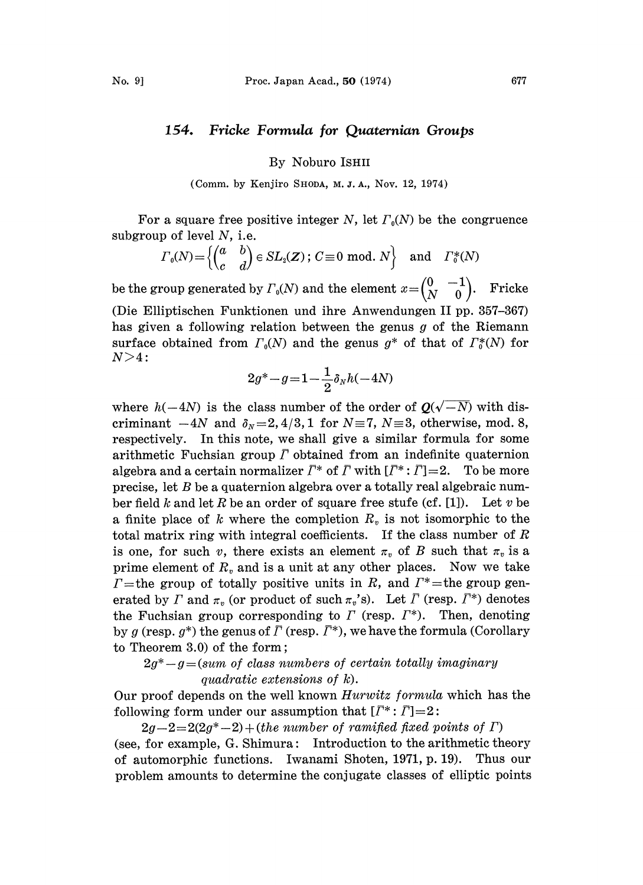## 154. Fricke Formula for Quaternian Groups

By Noburo ISHII

(Comm. by Kenjiro SHODA, M, J. A., Nov. 12, 1974)

For a square free positive integer N, let  $\Gamma_0(N)$  be the congruence subgroup of level  $N$ , i.e.

$$
\Gamma_0(N) = \left\{ \begin{pmatrix} a & b \\ c & d \end{pmatrix} \in SL_2(\mathbf{Z}) \, ; \, C \equiv 0 \, \bmod. \, N \right\} \quad \text{and} \quad \Gamma_0^*(N)
$$

be the group generated by  $\Gamma_0(N)$  and the element  $x=\begin{pmatrix} 0 & -1 \\ N & 0 \end{pmatrix}$ . Fricke (Die Elliptischen Funktionen und ihre Anwendungen II pp. 357-367) has given a following relation between the genus g of the Riemann surface obtained from  $\Gamma_0(N)$  and the genus  $g^*$  of that of  $\Gamma_0^*(N)$  for  $N > 4$ :

$$
2g^* - g\!=\! 1\!-\!\frac{1}{2}\delta_N h(-4N)
$$

where  $h(-4N)$  is the class number of the order of  $Q(\sqrt{-N})$  with discriminant  $-4N$  and  $\delta_N = 2, 4/3, 1$  for  $N=7, N=3$ , otherwise, mod. 8, respectively. In this note, we shall give a similar formula for some arithmetic Fuchsian group  $\bar{\Gamma}$  obtained from an indefinite quaternion algebra and a certain normalizer  $\bar{\Gamma}^*$  of  $\bar{\Gamma}$  with  $[\bar{\Gamma}^*:\bar{\Gamma}]=2$ . To be more precise, let  $B$  be a quaternion algebra over a totally real algebraic number field k and let R be an order of square free stufe (cf. [1]). Let v be a finite place of k where the completion  $R<sub>v</sub>$  is not isomorphic to the total matrix ring with integral coefficients. If the class number of  $R$ is one, for such v, there exists an element  $\pi_v$  of B such that  $\pi_v$  is a prime element of  $R_v$  and is a unit at any other places. Now we take  $\Gamma$ =the group of totally positive units in R, and  $\Gamma^*$ =the group generated by  $\Gamma$  and  $\pi_v$  (or product of such  $\pi_v$ 's). Let  $\overline{\Gamma}$  (resp.  $\overline{\Gamma}^*$ ) denotes the Fuchsian group corresponding to  $\Gamma$  (resp.  $\Gamma^*$ ). Then, denoting by g (resp.  $g^*$ ) the genus of  $\overline{\Gamma}$  (resp.  $\overline{\Gamma}^*$ ), we have the formula (Corollary to Theorem  $3.0$  of the form;

 $2g^*-g$  = (sum of class numbers of certain totally imaginary quadratic extensions of k).

Our proof depends on the well known *Hurwitz formula* which has the following form under our assumption that  $[\bar{\Gamma}^*:\bar{\Gamma}]=2$ :

 $2g-2=2(2g^*-2)+(the\ number\ of\ ramified\ fixed\ points\ of\ \Gamma)$ (see, for example, G. Shimura: Introduction to the arithmetic theory of automorphic functions. Iwanami Shoten, 1971, p. 19). Thus our problem amounts to determine the conjugate classes of elliptic points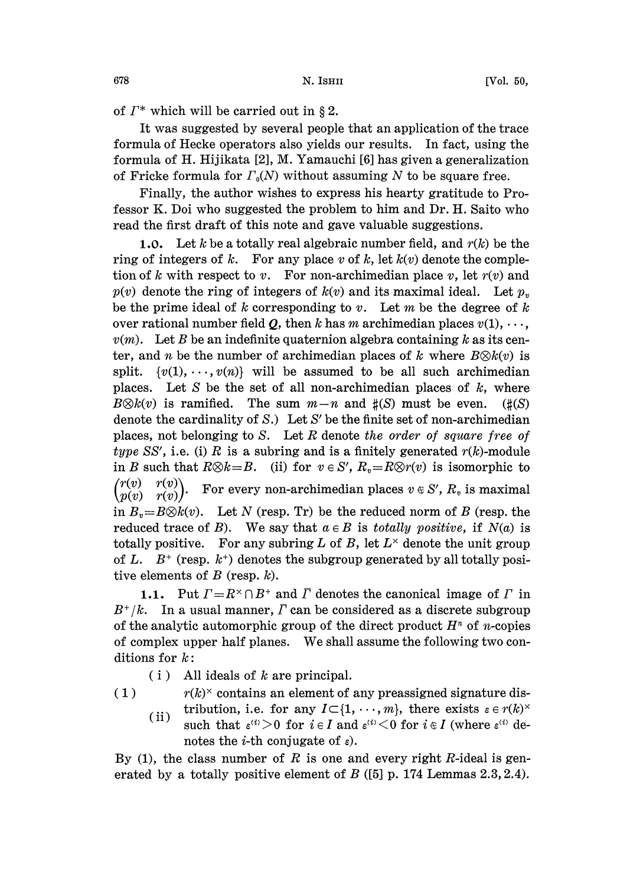of  $\Gamma^*$  which will be carried out in § 2.

It was suggested by several people that an application of the trace formula of Hecke operators also yields our results. In fact, using the ormula of H. Hijikata [2], M. Yamauchi [6] has given a generalization of Fricke formula for  $\Gamma_0(N)$  without assuming N to be square free.

Finally, the author wishes to express his hearty gratitude to Professor K. Doi who suggested the problem to him and Dr. H. Saito who read the first draft of this note and gave valuable suggestions.

1.0. Let k be a totally real algebraic number field, and  $r(k)$  be the ring of integers of k. For any place v of k, let  $k(v)$  denote the completion of k with respect to v. For non-archimedian place v, let  $r(v)$  and  $p(v)$  denote the ring of integers of  $k(v)$  and its maximal ideal. Let  $p<sub>v</sub>$ be the prime ideal of k corresponding to v. Let m be the degree of k over rational number field Q, then k has m archimedian places  $v(1), \dots$ ,  $v(m)$ . Let B be an indefinite quaternion algebra containing k as its center, and *n* be the number of archimedian places of *k* where  $B\otimes k(v)$  is split.  $\{v(1), \dots, v(n)\}$  will be assumed to be all such archimedian places. Let S be the set of all non-archimedian places of  $k$ , where  $B\otimes k(v)$  is ramified. The sum  $m-n$  and  $\sharp(S)$  must be even. ( $\sharp(S)$ ) denote the cardinality of S.) Let S' be the finite set of non-archimedian places, not belonging to  $S$ . Let  $R$  denote the order of square free of type SS', i.e. (i) R is a subring and is a finitely generated  $r(k)$ -module in B such that  $R\otimes k=B$ . (ii) for  $v \in S'$ ,  $R_v=R\otimes r(v)$  is isomorphic to  $rr(v)$  $\begin{pmatrix} r(v) & r(v) \ p(v) & r(v) \end{pmatrix}$ . For every non-archimedian places  $v \in S'$ ,  $R_v$  is maximal in  $B_v = B \otimes k(v)$ . Let N (resp. Tr) be the reduced norm of B (resp. the reduced trace of B). We say that  $a \in B$  is *totally positive*, if  $N(a)$  is totally positive. For any subring L of B, let  $L^{\times}$  denote the unit group of L.  $B^+$  (resp.  $k^+$ ) denotes the subgroup generated by all totally positive elements of  $B$  (resp.  $k$ ).

**1.1.** Put  $\Gamma = R^{\times} \cap B^+$  and  $\overline{\Gamma}$  denotes the canonical image of  $\Gamma$  in  $B^+/k$ . In a usual manner,  $\bar{\Gamma}$  can be considered as a discrete subgroup of the analytic automorphic group of the direct product  $H<sup>n</sup>$  of *n*-copies of complex upper half planes. We shall assume the following two conditions for k:

 $(i)$  All ideals of k are principal.

(1)  $r(k)$  contains an element of any preassigned signature dis-

(ii) tribution, i.e. for any  $I \subset \{1, \dots, m\}$ , there exists  $\varepsilon \in r(k)^\times$ <br>such that  $\varepsilon^{(i)} > 0$  for  $i \in I$  and  $\varepsilon^{(i)} < 0$  for  $i \in I$  (where  $\varepsilon^{(i)}$  denotes the *i*-th conjugate of  $\varepsilon$ ).

By (1), the class number of R is one and every right R-ideal is generated by a totally positive element of  $B$  ([5] p. 174 Lemmas 2.3, 2.4).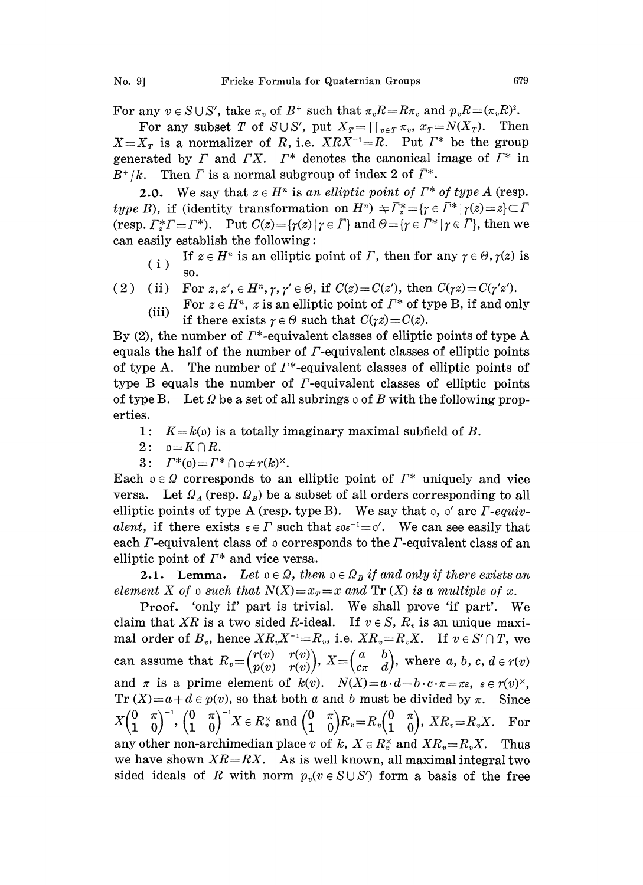For any  $v \in S \cup S'$ , take  $\pi_v$  of  $B^+$ such that  $\pi_v R = R \pi_v$  and  $p_v R = (\pi_v R)^2$ .

For any subset T of  $S \cup S'$ , put  $X_T = \prod_{v \in T} \pi_v$ ,  $x_T = N(X_T)$ . Then  $X=X_T$  is a normalizer of R, i.e.  $XRX^{-1}=R$ . Put  $\Gamma^*$  be the group generated by  $\Gamma$  and  $\Gamma X$ .  $\bar{\Gamma}^*$  denotes the canonical image of  $\Gamma^*$  in  $B^+/k$ . Then  $\bar{\Gamma}$  is a normal subgroup of index 2 of  $\bar{\Gamma}^*$ .

2.0. We say that  $z \in H^n$  is an elliptic point of  $\Gamma^*$  of type A (resp. type B), if (identity transformation on  $H^n$ )  $\pm \bar{\Gamma}^*_{z} = \{ \gamma \in \bar{\Gamma}^* | \gamma(z) = z \} \subset \bar{\Gamma}$ (resp.  $\overline{\Gamma}_z^* \overline{\Gamma} = \overline{\Gamma}^*$ ). Put  $C(z) = {\gamma(z) | \gamma \in \overline{\Gamma}}$  and  $\Theta = {\gamma \in \overline{\Gamma}^* | \gamma \in \overline{\Gamma}}$ , then we can easily establish the following:

- (i) If  $z \in H^n$  is an elliptic point of  $\Gamma$ , then for any  $\gamma \in \Theta$ ,  $\gamma(z)$  is SO.
- ( 2 ) (ii) For  $z, z', \in H^n, \gamma, \gamma' \in \Theta$ , if  $C(z) = C(z')$ , then  $C(\gamma z) = C(\gamma' z')$ .<br>For  $z \in H^n$ , a is an elliptic point of  $\Gamma^*$  of type B, if and on
	- (iii) For  $z \in H^n$ , z is an elliptic point of  $\Gamma^*$  of type B, if and only if there exists  $\gamma \in \Theta$  such that  $C(\gamma z) = C(z)$ .

By (2), the number of  $\Gamma^*$ -equivalent classes of elliptic points of type A equals the half of the number of  $\Gamma$ -equivalent classes of elliptic points of type A. The number of  $\Gamma^*$ -equivalent classes of elliptic points of type B equals the number of  $\Gamma$ -equivalent classes of elliptic points of type B. Let  $\Omega$  be a set of all subrings  $\Omega$  of B with the following properties.

- 1:  $K=k(0)$  is a totally imaginary maximal subfield of B.
- $2: \rho=K\cap R$ .
- 3:  $\Gamma^*(0) = \Gamma^* \cap 0 \neq r(k)^*$ .

Each  $o \in \Omega$  corresponds to an elliptic point of  $\Gamma^*$  uniquely and vice versa. Let  $\Omega_A$  (resp.  $\Omega_B$ ) be a subset of all orders corresponding to all elliptic points of type A (resp. type B). We say that  $\mathfrak{o}, \mathfrak{o}'$  are  $\Gamma$ -equivalent, if there exists  $\varepsilon \in \Gamma$  such that  $\varepsilon \in e^{-1} = 0'$ . We can see easily that each  $\Gamma$ -equivalent class of  $\mathfrak o$  corresponds to the  $\Gamma$ -equivalent class of an elliptic point of  $\Gamma^*$  and vice versa.

**2.1.** Lemma. Let  $o \in \Omega$ , then  $o \in \Omega_B$  if and only if there exists an element X of a such that  $N(X)=x_T=x$  and  $Tr(X)$  is a multiple of x.

Proof. 'only if' part is trivial. We shall prove 'if part'. We claim that XR is a two sided R-ideal. If  $v \in S$ ,  $R_v$  is an unique maximal order of  $B_v$ , hence  $XR_vX^{-1}=R_v$ , i.e.  $XR_v=R_vX$ . If  $v \in S' \cap T$ , we can assume that  $R_v = \begin{pmatrix} r(v) & r(v) \\ p(v) & r(v) \end{pmatrix}$ ,  $X = \begin{pmatrix} a & b \\ c\pi & d \end{pmatrix}$ , where  $a, b, c, d \in r(v)$ and  $\pi$  is a prime element of  $k(v)$ .  $N(X)=a\cdot d-b\cdot c\cdot \pi=\pi\varepsilon$ ,  $\varepsilon\in r(v)^{\times}$ .  $Tr(X) = a + d \in p(v)$ , so that both a and b must be divided by  $\pi$ . Since  $X\begin{pmatrix} 0 & \pi \ 1 & 0 \end{pmatrix}^{-1}, \begin{pmatrix} 0 & \pi \ 1 & 0 \end{pmatrix}^{-1}X\in R_v^\times\text{ and }\begin{pmatrix} 0 & \pi \ 1 & 0 \end{pmatrix}\!\!R_v\!=\!R_v\begin{pmatrix} 0 & \pi \ 1 & 0 \end{pmatrix}\!\! , \;XR_v\!=\!R_vX. \quad \text{For}$ any other non-archimedian place v of k,  $X \in R_n^{\times}$  and  $XR_v = R_vX$ . Thus we have shown  $XR = RX$ . As is well known, all maximal integral two sided ideals of R with norm  $p_v(v \in S \cup S')$  form a basis of the free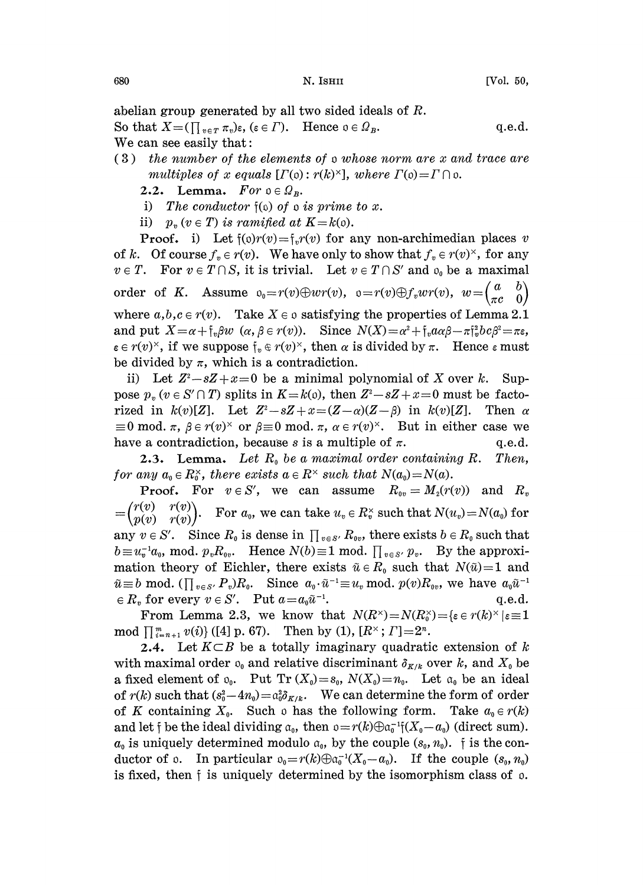abelian group generated by all two sided ideals of R.

So that  $X=(\prod_{v\in T}\pi_v)\epsilon, (\epsilon\in \Gamma)$ . Hence  $\epsilon\in \Omega_B$ . q.e.d. We can see easily that:

(3) the number of the elements of <sup>o</sup> whose norm are x and trace are multiples of x equals  $[I(\mathfrak{o}): r(k)^{\times}],$  where  $\Gamma(\mathfrak{o})=I \cap \mathfrak{o}$ .

2.2. Lemma.  $For \t0 \in \mathcal{Q}_R$ .

- i) The conductor  $\mathfrak{f}(\mathfrak{0})$  of  $\mathfrak{o}$  is prime to x.
- ii)  $p_n (v \in T)$  is ramified at  $K = k(0)$ .

**Proof.** i) Let  $f(0)r(v) = f_r(r(v))$  for any non-archimedian places v of k. Of course  $f_v \in r(v)$ . We have only to show that  $f_v \in r(v)^{\times}$ , for any  $v \in T$ . For  $v \in T \cap S$ , it is trivial. Let  $v \in T \cap S'$  and  $o_0$  be a maximal order of K. Assume  $o_0 = r(v) \oplus wr(v)$ ,  $o = r(v) \oplus f_v wr(v)$ ,  $w = \begin{pmatrix} a & b \\ \pi c & 0 \end{pmatrix}$ where  $a, b, c \in r(v)$ . Take  $X \in \mathfrak{o}$  satisfying the properties of Lemma 2.1 and put  $X = \alpha + \int_{v} \beta w \ (\alpha, \beta \in r(v)).$  Since  $N(X) = \alpha^{2} + \int_{v} \alpha \alpha \beta - \pi \int_{v}^{2} b c \beta^{2} = \pi \varepsilon$ ,  $\epsilon \in r(v)^{\times}$ , if we suppose  $\mathfrak{f}_v \in r(v)^{\times}$ , then  $\alpha$  is divided by  $\pi$ . Hence  $\epsilon$  must be divided by  $\pi$ , which is a contradiction.

ii) Let  $Z^2 - sZ + x = 0$  be a minimal polynomial of X over k. Suppose  $p_n (v \in S' \cap T)$  splits in  $K=k(v)$ , then  $Z^2-sZ+x=0$  must be factorized in  $k(v)[Z]$ . Let  $Z^2 - sZ + x = (Z-\alpha)(Z-\beta)$  in  $k(v)[Z]$ . Then  $\alpha$  $\equiv 0 \mod \pi$ ,  $\beta \in r(v)^{\times}$  or  $\beta \equiv 0 \mod \pi$ ,  $\alpha \in r(v)^{\times}$ . But in either case we have a contradiction, because s is a multiple of  $\pi$ .  $q.e.d.$ 

2.3. Lemma. Let  $R_0$  be a maximal order containing R. Then, for any  $a_0 \in R_0^{\times}$ , there exists  $a \in R^{\times}$  such that  $N(a_0) = N(a)$ .

**Proof.** For  $v \in S'$ , we can assume  $R_{0v} = M_2(r(v))$  and  $R_v = \begin{pmatrix} r(v) & r(v) \\ p(v) & r(v) \end{pmatrix}$ . For  $a_0$ , we can take  $u_v \in R_v^{\times}$  such that  $N(u_v) = N(a_0)$  for  $\begin{pmatrix} r(v) & r(v) \ p(v) & r(v) \end{pmatrix}$ . For  $a_0$ , we can take  $u_v \in R_v^{\times}$  such that  $N(u_v) = N(a_0)$  for any  $v \in S'$ . Since  $R_0$  is dense in  $\prod_{v \in S'} R_{0v}$ , there exists  $b \in R_0$  such that  $b \equiv u_v^{-1}a_v$ , mod.  $p_vR_v$ . Hence  $N(b) \equiv 1 \mod \prod_{v \in S'} p_v$ . By the approximation theory of Eichler, there exists  $\tilde{u} \in R_0$  such that  $N(\tilde{u})=1$  and  $\tilde{u} \equiv b \mod.$  ( $\prod_{v \in S'} P_v R_0$ . Since  $a_0 \cdot \tilde{u}^{-1} \equiv u_v \mod.$   $p(v)R_{ov}$ , we have  $a_0\tilde{u}$  $\in R_v$  for every  $v \in S'$ . Put  $a=a_0\tilde{u}^{-1}$ .  $q.e.d.$ 

From Lemma 2.3, we know that  $N(R^{\times})=N(R_0^{\times})=\{\varepsilon \in r(k) \}$ <br> $\Box_m$   $\alpha(\varepsilon)$  (14 p  $\varepsilon(7)$  Then by (1)  $\Box_n \times \Box_n = 2^n$ mod  $\prod_{i=n+1}^{m} v(i)$  ([4] p. 67). Then by (1),  $[R^{\times}; T]=2^{n}$ .

2.4. Let  $K \subset B$  be a totally imaginary quadratic extension of k with maximal order  $o_0$  and relative discriminant  $\delta_{K/k}$  over k, and  $X_0$  be a fixed element of  $\mathfrak{o}_0$ . Put Tr  $(X_0)=s_0$ ,  $N(X_0)=n_0$ . Let  $\mathfrak{a}_0$  be an ideal of  $r(k)$  such that  $(s_0^2-4n_0) = a_0^2 \delta_{K/k}$ . We can determine the form of order of K containing  $X_0$ . Such o has the following form. Take  $a_0 \in r(k)$ and let f be the ideal dividing  $a_0$ , then  $0=r(k)\oplus a_0^{-1}(X_0-a_0)$  (direct sum).  $a_0$  is uniquely determined modulo  $a_0$ , by the couple  $(s_0, n_0)$ . is the conductor of  $\circ$ . In particular  $\circ_0 = r(k) \oplus \circ_0^{-1}(X_0 - a_0)$ . If the couple  $(s_0, n_0)$ is fixed, then  $\mathfrak f$  is uniquely determined by the isomorphism class of  $\rho$ .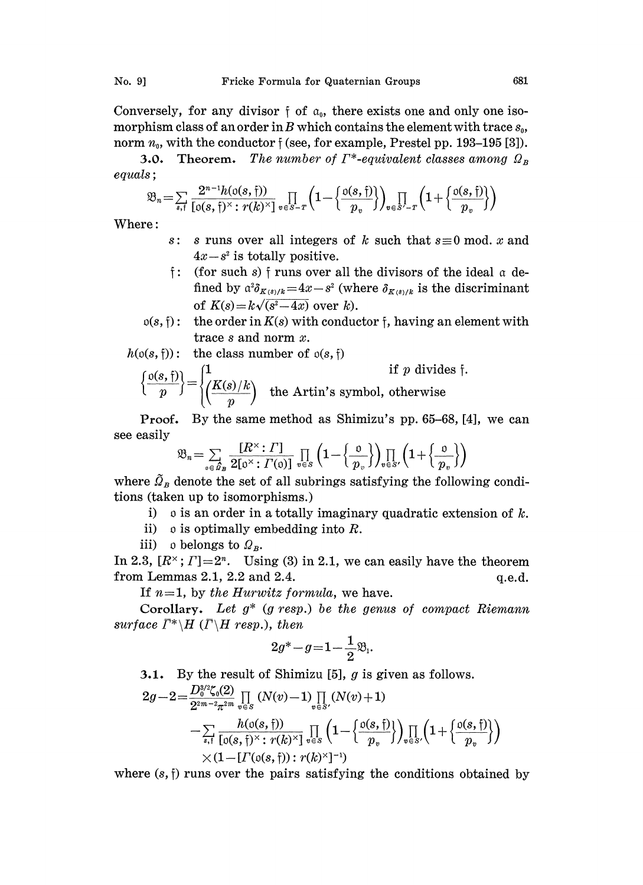Conversely, for any divisor  $\mathfrak f$  of  $\mathfrak a_0$ , there exists one and only one isomorphism class of an order in B which contains the element with trace  $s_0$ , norm  $n_0$ , with the conductor  $\mathfrak{f}$  (see, for example, Prestel pp. 193-195 [3]).

**3.0.** Theorem. The number of  $\Gamma^*$ -equivalent classes among  $\Omega_B$ equals

$$
\mathfrak{B}_n = \sum_{s,\mathfrak{f}} \frac{2^{n-1} h(\mathfrak{o}(s,\mathfrak{f}))}{[\mathfrak{o}(s,\mathfrak{f})^{\times} : r(k)^{\times}]} \prod_{v \in S-T} \left(1 - \left\{\frac{\mathfrak{o}(s,\mathfrak{f})}{p_v}\right\}\right)_{v \in S'-T} \left(1 + \left\{\frac{\mathfrak{o}(s,\mathfrak{f})}{p_v}\right\}\right)
$$

Where:

- s: s runs over all integers of k such that  $s \equiv 0 \mod x$  and  $4x-s^2$  is totally positive.
- $\mathfrak f$ : (for such s)  $\mathfrak f$  runs over all the divisors of the ideal  $\mathfrak a$  defined by  $\alpha^2 \delta_{K(s)/k} = 4x-s^2$  (where  $\delta_{K(s)/k}$  is the discriminant of  $K(s)=k\sqrt{(s^2-4x)}$  over k).
- $o(s, f)$ : the order in  $K(s)$  with conductor f, having an element with trace <sup>s</sup> and norm x.

$$
h(\mathfrak{o}(s, \mathfrak{f})) : \text{ the class number of } \mathfrak{o}(s, \mathfrak{f})
$$
\n
$$
\left\{ \frac{\mathfrak{o}(s, \mathfrak{f})}{p} \right\} = \begin{cases} 1 & \text{if } p \text{ divides } \mathfrak{f}. \\ \left( \frac{K(s)}{p} \right) & \text{the Artin's symbol, otherwise} \end{cases}
$$

Proof. By the same method as Shimizu's pp. 65-68, [4], we can see easily

$$
\mathfrak{B}_n = \sum_{\mathfrak{0} \in \mathfrak{B}_n} \frac{[R^{\times} : I']}{2[\mathfrak{0}^{\times} : I'(\mathfrak{0})]} \prod_{v \in S} \left(1 - \left\{\frac{\mathfrak{0}}{p_v}\right\}\right) \prod_{v \in S'} \left(1 + \left\{\frac{\mathfrak{0}}{p_v}\right\}\right)
$$

where  $\tilde{Q}_B$  denote the set of all subrings satisfying the following conditions (taken up to isomorphisms.)

- i) o is an order in a totally imaginary quadratic extension of  $k$ .
- ii) o is optimally embedding into  $R$ .
- iii) o belongs to  $\Omega_B$ .

In 2.3,  $[R^{\times}; T]=2^n$ . Using (3) in 2.1, we can easily have the theorem from Lemmas 2.1, 2.2 and 2.4.  $q.e.d.$ 

If  $n=1$ , by the Hurwitz formula, we have.

Corollary. Let  $g^*$  (g resp.) be the genus of compact Riemann surface  $\bar{\Gamma}^* \backslash H$  ( $\bar{\Gamma} \backslash H$  resp.), then

$$
2g^*-g\!=\!{\bf 1}\!-\!\frac12\mathfrak{B}_\mathrm{i}.
$$

3.1. By the result of Shimizu [5],  $g$  is given as follows.

$$
\begin{aligned}2g-2=&\frac{D_0^{s/2}\zeta_0(2)}{2^{2m-2}\pi^{2m}}\prod_{v\in S}\left(N(v)-1\right)\prod_{v\in S'}\left(N(v)+1\right)\\&-\sum_{s,\dagger}\frac{h(\mathfrak{o}(s,\mathfrak{f}))}{\left[\mathfrak{o}(s,\mathfrak{f})^\times:\,r(k)^\times\right]}\prod_{v\in S}\left(1-\left\{\frac{\mathfrak{o}(s,\mathfrak{f})}{p_v}\right\}\right)\prod_{v\in S'}\left(1+\left\{\frac{\mathfrak{o}(s,\mathfrak{f})}{p_v}\right\}\right)\\&\times(1-\left[I'(\mathfrak{o}(s,\mathfrak{f})):r(k)^\times\right]^{-1})\end{aligned}
$$

where  $(s, \dagger)$  runs over the pairs satisfying the conditions obtained by